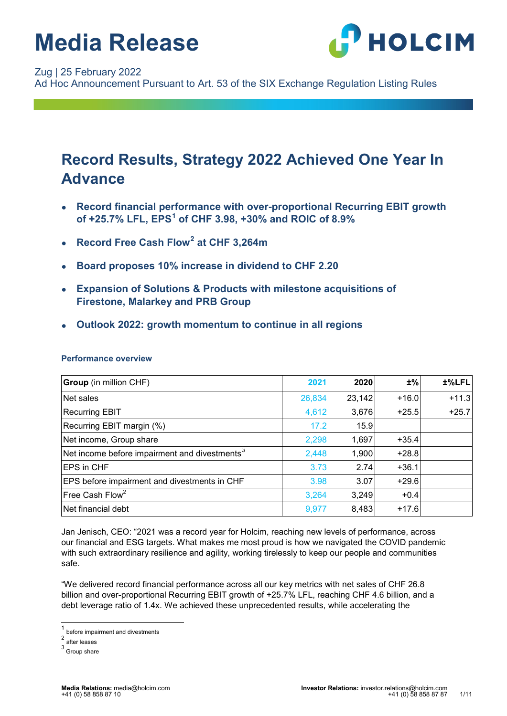

#### Zug | 25 February 2022

Ad Hoc Announcement Pursuant to Art. 53 of the SIX Exchange Regulation Listing Rules

### **Record Results, Strategy 2022 Achieved One Year In Advance**

- **Record financial performance with over-proportional Recurring EBIT growth of +25.7% LFL, EPS[1](#page-0-0) of CHF 3.98, +30% and ROIC of 8.9%**
- **Record Free Cash Flow[2](#page-0-1) at CHF 3,264m**
- **Board proposes 10% increase in dividend to CHF 2.20**
- **Expansion of Solutions & Products with milestone acquisitions of Firestone, Malarkey and PRB Group**
- **Outlook 2022: growth momentum to continue in all regions**

| <b>Group</b> (in million CHF)                             | 2021   | 2020   | ±%      | ±%LFL   |
|-----------------------------------------------------------|--------|--------|---------|---------|
| Net sales                                                 | 26,834 | 23,142 | $+16.0$ | $+11.3$ |
| <b>Recurring EBIT</b>                                     | 4,612  | 3,676  | $+25.5$ | $+25.7$ |
| Recurring EBIT margin (%)                                 | 17.2   | 15.9   |         |         |
| Net income, Group share                                   | 2,298  | 1,697  | $+35.4$ |         |
| Net income before impairment and divestments <sup>3</sup> | 2,448  | 1,900  | $+28.8$ |         |
| <b>EPS</b> in CHF                                         | 3.73   | 2.74   | $+36.1$ |         |
| <b>EPS before impairment and divestments in CHF</b>       | 3.98   | 3.07   | $+29.6$ |         |
| Free Cash Flow <sup>2</sup>                               | 3,264  | 3,249  | $+0.4$  |         |
| Net financial debt                                        | 9,977  | 8,483  | $+17.6$ |         |

#### **Performance overview**

Jan Jenisch, CEO: "2021 was a record year for Holcim, reaching new levels of performance, across our financial and ESG targets. What makes me most proud is how we navigated the COVID pandemic with such extraordinary resilience and agility, working tirelessly to keep our people and communities safe.

"We delivered record financial performance across all our key metrics with net sales of CHF 26.8 billion and over-proportional Recurring EBIT growth of +25.7% LFL, reaching CHF 4.6 billion, and a debt leverage ratio of 1.4x. We achieved these unprecedented results, while accelerating the

<span id="page-0-0"></span> $\frac{1}{2}$  before impairment and divestments

after leases

<span id="page-0-2"></span><span id="page-0-1"></span><sup>3</sup> Group share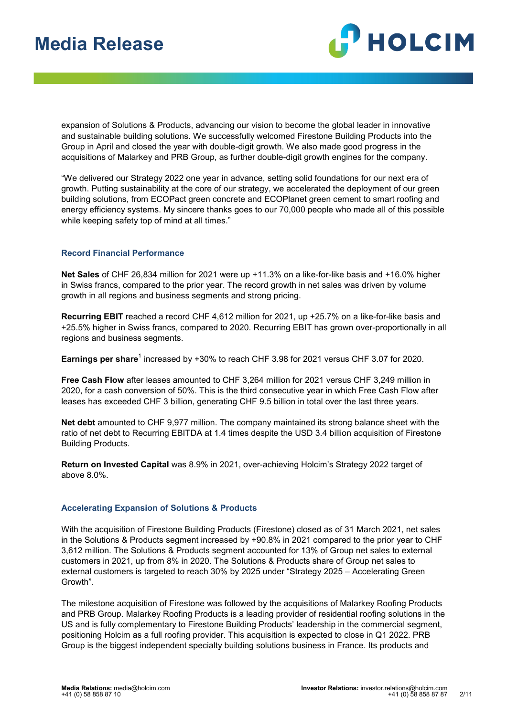

expansion of Solutions & Products, advancing our vision to become the global leader in innovative and sustainable building solutions. We successfully welcomed Firestone Building Products into the Group in April and closed the year with double-digit growth. We also made good progress in the acquisitions of Malarkey and PRB Group, as further double-digit growth engines for the company.

"We delivered our Strategy 2022 one year in advance, setting solid foundations for our next era of growth. Putting sustainability at the core of our strategy, we accelerated the deployment of our green building solutions, from ECOPact green concrete and ECOPlanet green cement to smart roofing and energy efficiency systems. My sincere thanks goes to our 70,000 people who made all of this possible while keeping safety top of mind at all times."

#### **Record Financial Performance**

**Net Sales** of CHF 26,834 million for 2021 were up +11.3% on a like-for-like basis and +16.0% higher in Swiss francs, compared to the prior year. The record growth in net sales was driven by volume growth in all regions and business segments and strong pricing.

**Recurring EBIT** reached a record CHF 4,612 million for 2021, up +25.7% on a like-for-like basis and +25.5% higher in Swiss francs, compared to 2020. Recurring EBIT has grown over-proportionally in all regions and business segments.

**Earnings per share**<sup>1</sup> increased by +30% to reach CHF 3.98 for 2021 versus CHF 3.07 for 2020.

**Free Cash Flow** after leases amounted to CHF 3,264 million for 2021 versus CHF 3,249 million in 2020, for a cash conversion of 50%. This is the third consecutive year in which Free Cash Flow after leases has exceeded CHF 3 billion, generating CHF 9.5 billion in total over the last three years.

**Net debt** amounted to CHF 9,977 million. The company maintained its strong balance sheet with the ratio of net debt to Recurring EBITDA at 1.4 times despite the USD 3.4 billion acquisition of Firestone Building Products.

**Return on Invested Capital** was 8.9% in 2021, over-achieving Holcim's Strategy 2022 target of above 8.0%.

#### **Accelerating Expansion of Solutions & Products**

With the acquisition of Firestone Building Products (Firestone) closed as of 31 March 2021, net sales in the Solutions & Products segment increased by +90.8% in 2021 compared to the prior year to CHF 3,612 million. The Solutions & Products segment accounted for 13% of Group net sales to external customers in 2021, up from 8% in 2020. The Solutions & Products share of Group net sales to external customers is targeted to reach 30% by 2025 under "Strategy 2025 – Accelerating Green Growth".

The milestone acquisition of Firestone was followed by the acquisitions of Malarkey Roofing Products and PRB Group. Malarkey Roofing Products is a leading provider of residential roofing solutions in the US and is fully complementary to Firestone Building Products' leadership in the commercial segment, positioning Holcim as a full roofing provider. This acquisition is expected to close in Q1 2022. PRB Group is the biggest independent specialty building solutions business in France. Its products and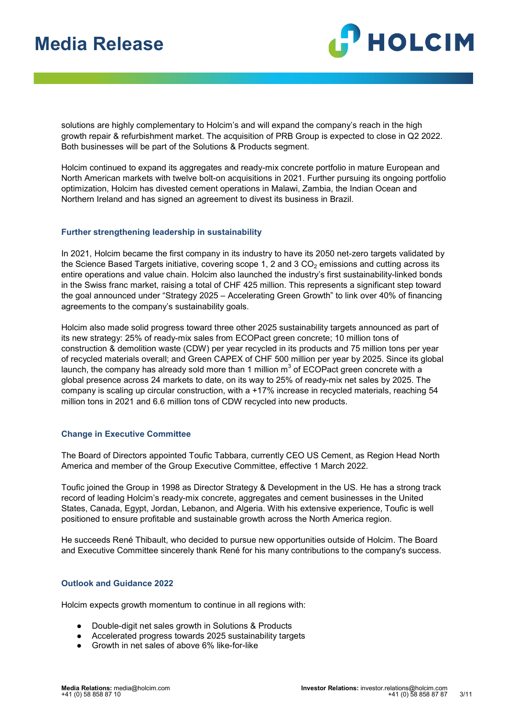

solutions are highly complementary to Holcim's and will expand the company's reach in the high growth repair & refurbishment market. The acquisition of PRB Group is expected to close in Q2 2022. Both businesses will be part of the Solutions & Products segment.

Holcim continued to expand its aggregates and ready-mix concrete portfolio in mature European and North American markets with twelve bolt-on acquisitions in 2021. Further pursuing its ongoing portfolio optimization, Holcim has divested cement operations in Malawi, Zambia, the Indian Ocean and Northern Ireland and has signed an agreement to divest its business in Brazil.

#### **Further strengthening leadership in sustainability**

In 2021, Holcim became the first company in its industry to have its 2050 net-zero targets validated by the Science Based Targets initiative, covering scope 1, 2 and 3  $CO<sub>2</sub>$  emissions and cutting across its entire operations and value chain. Holcim also launched the industry's first sustainability-linked bonds in the Swiss franc market, raising a total of CHF 425 million. This represents a significant step toward the goal announced under "Strategy 2025 – Accelerating Green Growth" to link over 40% of financing agreements to the company's sustainability goals.

Holcim also made solid progress toward three other 2025 sustainability targets announced as part of its new strategy: 25% of ready-mix sales from ECOPact green concrete; 10 million tons of construction & demolition waste (CDW) per year recycled in its products and 75 million tons per year of recycled materials overall; and Green CAPEX of CHF 500 million per year by 2025. Since its global launch, the company has already sold more than 1 million  $m<sup>3</sup>$  of ECOPact green concrete with a global presence across 24 markets to date, on its way to 25% of ready-mix net sales by 2025. The company is scaling up circular construction, with a +17% increase in recycled materials, reaching 54 million tons in 2021 and 6.6 million tons of CDW recycled into new products.

#### **Change in Executive Committee**

The Board of Directors appointed Toufic Tabbara, currently CEO US Cement, as Region Head North America and member of the Group Executive Committee, effective 1 March 2022.

Toufic joined the Group in 1998 as Director Strategy & Development in the US. He has a strong track record of leading Holcim's ready-mix concrete, aggregates and cement businesses in the United States, Canada, Egypt, Jordan, Lebanon, and Algeria. With his extensive experience, Toufic is well positioned to ensure profitable and sustainable growth across the North America region.

He succeeds René Thibault, who decided to pursue new opportunities outside of Holcim. The Board and Executive Committee sincerely thank René for his many contributions to the company's success.

#### **Outlook and Guidance 2022**

Holcim expects growth momentum to continue in all regions with:

- Double-digit net sales growth in Solutions & Products
- Accelerated progress towards 2025 sustainability targets
- Growth in net sales of above 6% like-for-like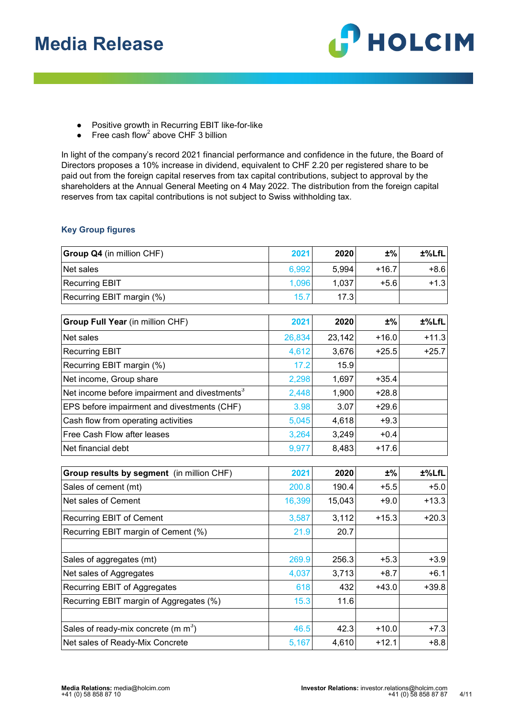

- Positive growth in Recurring EBIT like-for-like
- $\bullet$  Free cash flow<sup>2</sup> above CHF 3 billion

In light of the company's record 2021 financial performance and confidence in the future, the Board of Directors proposes a 10% increase in dividend, equivalent to CHF 2.20 per registered share to be paid out from the foreign capital reserves from tax capital contributions, subject to approval by the shareholders at the Annual General Meeting on 4 May 2022. The distribution from the foreign capital reserves from tax capital contributions is not subject to Swiss withholding tax.

#### **Key Group figures**

| Group Q4 (in million CHF)                                 | 2021   | 2020   | $±\%$   | ±%LfL   |
|-----------------------------------------------------------|--------|--------|---------|---------|
| Net sales                                                 | 6,992  | 5,994  | $+16.7$ | $+8.6$  |
| <b>Recurring EBIT</b>                                     | 1,096  | 1,037  | $+5.6$  | $+1.3$  |
| Recurring EBIT margin (%)                                 | 15.7   | 17.3   |         |         |
|                                                           |        |        |         |         |
| Group Full Year (in million CHF)                          | 2021   | 2020   | ±%      | ±%LfL   |
| Net sales                                                 | 26,834 | 23,142 | $+16.0$ | $+11.3$ |
| <b>Recurring EBIT</b>                                     | 4,612  | 3,676  | $+25.5$ | $+25.7$ |
| Recurring EBIT margin (%)                                 | 17.2   | 15.9   |         |         |
| Net income, Group share                                   | 2,298  | 1,697  | $+35.4$ |         |
| Net income before impairment and divestments <sup>3</sup> | 2,448  | 1,900  | $+28.8$ |         |
| EPS before impairment and divestments (CHF)               | 3.98   | 3.07   | $+29.6$ |         |
| Cash flow from operating activities                       | 5,045  | 4,618  | $+9.3$  |         |
| Free Cash Flow after leases                               | 3,264  | 3,249  | $+0.4$  |         |
| Net financial debt                                        | 9,977  | 8,483  | $+17.6$ |         |
| Group results by segment (in million CHF)                 | 2021   | 2020   | $±\%$   | ±%LfL   |
| Sales of cement (mt)                                      | 200.8  | 190.4  | $+5.5$  | $+5.0$  |
| Net sales of Cement                                       | 16,399 | 15,043 | $+9.0$  | $+13.3$ |
| <b>Recurring EBIT of Cement</b>                           | 3,587  | 3,112  | $+15.3$ | $+20.3$ |
| Recurring EBIT margin of Cement (%)                       | 21.9   | 20.7   |         |         |
|                                                           |        |        |         |         |
| Sales of aggregates (mt)                                  | 269.9  | 256.3  | $+5.3$  | $+3.9$  |
| Net sales of Aggregates                                   | 4,037  | 3,713  | $+8.7$  | $+6.1$  |
| Recurring EBIT of Aggregates                              | 618    | 432    | $+43.0$ | $+39.8$ |
| Recurring EBIT margin of Aggregates (%)                   | 15.3   | 11.6   |         |         |
| Sales of ready-mix concrete (m $m^3$ )                    | 46.5   | 42.3   | $+10.0$ | $+7.3$  |
| Net sales of Ready-Mix Concrete                           | 5,167  | 4,610  | $+12.1$ | $+8.8$  |
|                                                           |        |        |         |         |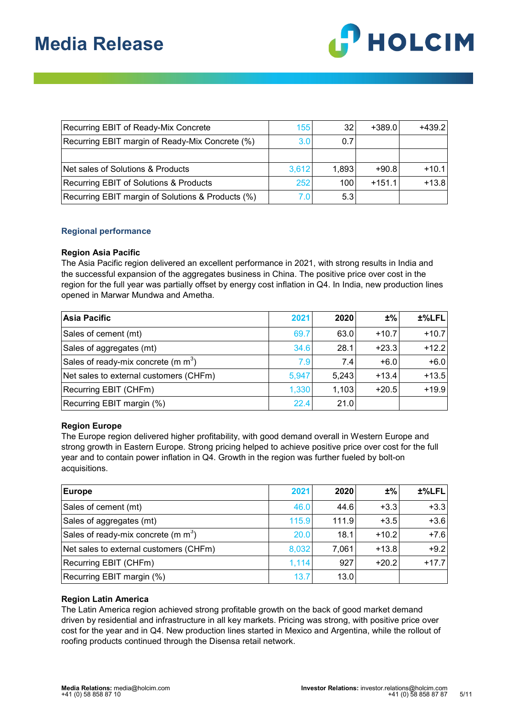

| Recurring EBIT of Ready-Mix Concrete              | 155   | 32    | $+389.0$ | $+439.2$ |
|---------------------------------------------------|-------|-------|----------|----------|
| Recurring EBIT margin of Ready-Mix Concrete (%)   | 3.0   | 0.7   |          |          |
|                                                   |       |       |          |          |
| Net sales of Solutions & Products                 | 3,612 | 1,893 | $+90.8$  | $+10.1$  |
| <b>Recurring EBIT of Solutions &amp; Products</b> | 252   | 100   | $+151.1$ | $+13.8$  |
| Recurring EBIT margin of Solutions & Products (%) |       | 5.3   |          |          |

#### **Regional performance**

#### **Region Asia Pacific**

The Asia Pacific region delivered an excellent performance in 2021, with strong results in India and the successful expansion of the aggregates business in China. The positive price over cost in the region for the full year was partially offset by energy cost inflation in Q4. In India, new production lines opened in Marwar Mundwa and Ametha.

| Asia Pacific                           | 2021  | 2020  | ±%      | ±%LFL   |
|----------------------------------------|-------|-------|---------|---------|
| Sales of cement (mt)                   | 69.7  | 63.0  | $+10.7$ | $+10.7$ |
| Sales of aggregates (mt)               | 34.6  | 28.1  | $+23.3$ | $+12.2$ |
| Sales of ready-mix concrete (m $m^3$ ) | 7.9   | 7.4   | $+6.0$  | $+6.0$  |
| Net sales to external customers (CHFm) | 5,947 | 5,243 | $+13.4$ | $+13.5$ |
| Recurring EBIT (CHFm)                  | 1,330 | 1,103 | $+20.5$ | $+19.9$ |
| Recurring EBIT margin (%)              | 22.4  | 21.0  |         |         |

#### **Region Europe**

The Europe region delivered higher profitability, with good demand overall in Western Europe and strong growth in Eastern Europe. Strong pricing helped to achieve positive price over cost for the full year and to contain power inflation in Q4. Growth in the region was further fueled by bolt-on acquisitions.

| Europe                                 | 2021  | 2020  | $±\%$   | ±%LFL   |
|----------------------------------------|-------|-------|---------|---------|
| Sales of cement (mt)                   | 46.0  | 44.6  | $+3.3$  | $+3.3$  |
| Sales of aggregates (mt)               | 115.9 | 111.9 | $+3.5$  | $+3.6$  |
| Sales of ready-mix concrete (m $m3$ )  | 20.0  | 18.1  | $+10.2$ | $+7.6$  |
| Net sales to external customers (CHFm) | 8,032 | 7,061 | $+13.8$ | $+9.2$  |
| Recurring EBIT (CHFm)                  | 1,114 | 927   | $+20.2$ | $+17.7$ |
| Recurring EBIT margin (%)              | 13.7  | 13.0  |         |         |

#### **Region Latin America**

The Latin America region achieved strong profitable growth on the back of good market demand driven by residential and infrastructure in all key markets. Pricing was strong, with positive price over cost for the year and in Q4. New production lines started in Mexico and Argentina, while the rollout of roofing products continued through the Disensa retail network.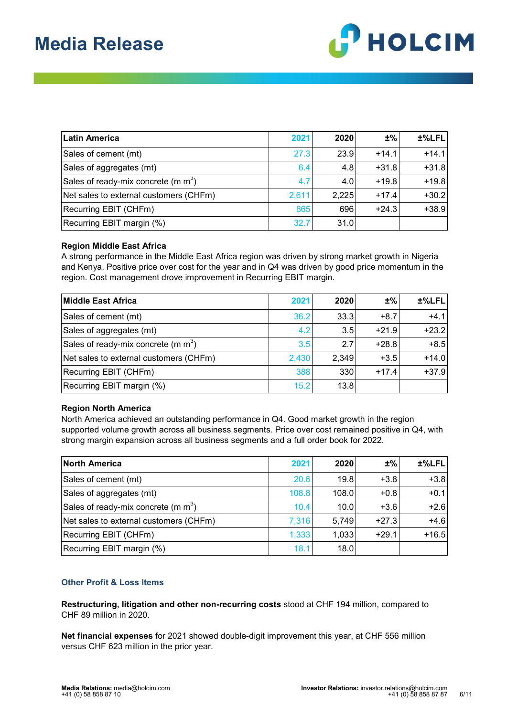

| <b>Latin America</b>                   | 2021  | 2020  | ±%      | $±%$ LFL |
|----------------------------------------|-------|-------|---------|----------|
| Sales of cement (mt)                   | 27.3  | 23.9  | $+14.1$ | $+14.1$  |
| Sales of aggregates (mt)               | 6.4   | 4.8   | $+31.8$ | $+31.8$  |
| Sales of ready-mix concrete (m $m3$ )  | 4.7   | 4.0   | $+19.8$ | $+19.8$  |
| Net sales to external customers (CHFm) | 2,611 | 2,225 | $+17.4$ | $+30.2$  |
| Recurring EBIT (CHFm)                  | 865   | 696   | $+24.3$ | $+38.9$  |
| Recurring EBIT margin (%)              | 32.7  | 31.0  |         |          |

#### **Region Middle East Africa**

A strong performance in the Middle East Africa region was driven by strong market growth in Nigeria and Kenya. Positive price over cost for the year and in Q4 was driven by good price momentum in the region. Cost management drove improvement in Recurring EBIT margin.

| Middle East Africa                     | 2021  | 2020  | ±%      | ±%LFL   |
|----------------------------------------|-------|-------|---------|---------|
| Sales of cement (mt)                   | 36.2  | 33.3  | $+8.7$  | $+4.1$  |
| Sales of aggregates (mt)               | 4.2   | 3.5   | $+21.9$ | $+23.2$ |
| Sales of ready-mix concrete (m $m3$ )  | 3.5   | 2.7   | $+28.8$ | $+8.5$  |
| Net sales to external customers (CHFm) | 2,430 | 2,349 | $+3.5$  | $+14.0$ |
| Recurring EBIT (CHFm)                  | 388   | 330   | $+17.4$ | $+37.9$ |
| Recurring EBIT margin (%)              | 15.2  | 13.8  |         |         |

#### **Region North America**

North America achieved an outstanding performance in Q4. Good market growth in the region supported volume growth across all business segments. Price over cost remained positive in Q4, with strong margin expansion across all business segments and a full order book for 2022.

| <b>North America</b>                   | 2021  | 2020  | ±%      | ±%LFL   |
|----------------------------------------|-------|-------|---------|---------|
| Sales of cement (mt)                   | 20.6  | 19.8  | $+3.8$  | $+3.8$  |
| Sales of aggregates (mt)               | 108.8 | 108.0 | $+0.8$  | $+0.1$  |
| Sales of ready-mix concrete (m $m^3$ ) | 10.4  | 10.0  | $+3.6$  | $+2.6$  |
| Net sales to external customers (CHFm) | 7,316 | 5,749 | $+27.3$ | $+4.6$  |
| Recurring EBIT (CHFm)                  | 1,333 | 1,033 | $+29.1$ | $+16.5$ |
| Recurring EBIT margin (%)              | 18.1  | 18.0  |         |         |

#### **Other Profit & Loss Items**

**Restructuring, litigation and other non-recurring costs** stood at CHF 194 million, compared to CHF 89 million in 2020.

**Net financial expenses** for 2021 showed double-digit improvement this year, at CHF 556 million versus CHF 623 million in the prior year.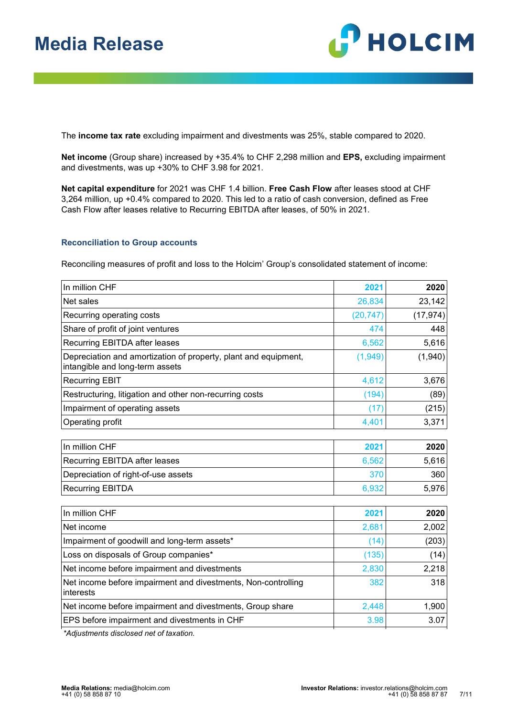

The **income tax rate** excluding impairment and divestments was 25%, stable compared to 2020.

**Net income** (Group share) increased by +35.4% to CHF 2,298 million and **EPS,** excluding impairment and divestments, was up +30% to CHF 3.98 for 2021.

**Net capital expenditure** for 2021 was CHF 1.4 billion. **Free Cash Flow** after leases stood at CHF 3,264 million, up +0.4% compared to 2020. This led to a ratio of cash conversion, defined as Free Cash Flow after leases relative to Recurring EBITDA after leases, of 50% in 2021.

#### **Reconciliation to Group accounts**

Reconciling measures of profit and loss to the Holcim' Group's consolidated statement of income:

| 2021      | 2020         |
|-----------|--------------|
| 26,834    | 23,142       |
| (20, 747) | (17, 974)    |
| 474       | 448          |
| 6,562     | 5,616        |
| (1, 949)  | (1,940)      |
| 4,612     | 3,676        |
| (194)     | (89)         |
| (17)      | (215)        |
| 4,401     | 3,371        |
|           |              |
|           | 2020         |
| 6,562     | 5,616        |
| 370       | 360          |
| 6,932     | 5,976        |
|           |              |
|           | 2020         |
| 2,681     | 2,002        |
| (14)      | (203)        |
| (135)     | (14)         |
| 2,830     | 2,218        |
| 382       | 318          |
| 2,448     | 1,900        |
| 3.98      | 3.07         |
|           | 2021<br>2021 |

*\*Adjustments disclosed net of taxation.*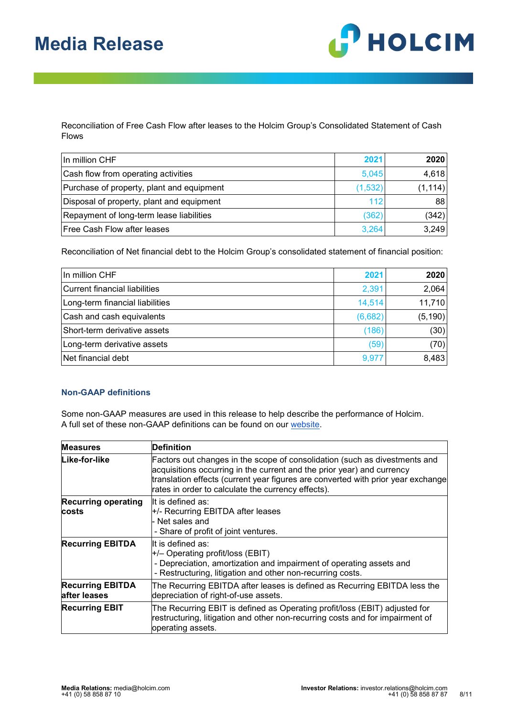

Reconciliation of Free Cash Flow after leases to the Holcim Group's Consolidated Statement of Cash Flows

| In million CHF                            | 2021    | 2020     |
|-------------------------------------------|---------|----------|
| Cash flow from operating activities       | 5,045   | 4,618    |
| Purchase of property, plant and equipment | (1,532) | (1, 114) |
| Disposal of property, plant and equipment | 112     | 88       |
| Repayment of long-term lease liabilities  | (362)   | (342)    |
| Free Cash Flow after leases               | 3,264   | 3,249    |

Reconciliation of Net financial debt to the Holcim Group's consolidated statement of financial position:

| In million CHF                  | 2021    | 2020     |
|---------------------------------|---------|----------|
| Current financial liabilities   | 2,391   | 2,064    |
| Long-term financial liabilities | 14,514  | 11,710   |
| Cash and cash equivalents       | (6,682) | (5, 190) |
| Short-term derivative assets    | (186)   | (30)     |
| Long-term derivative assets     | (59)    | (70)     |
| Net financial debt              | 9,977   | 8,483    |

#### **Non-GAAP definitions**

Some non-GAAP measures are used in this release to help describe the performance of Holcim. A full set of these non-GAAP definitions can be found on our [website.](https://www.holcim.com/non-gaap-measures)

| <b>Measures</b>                         | <b>Definition</b>                                                                                                                                                                                                                                                                              |
|-----------------------------------------|------------------------------------------------------------------------------------------------------------------------------------------------------------------------------------------------------------------------------------------------------------------------------------------------|
| Like-for-like                           | Factors out changes in the scope of consolidation (such as divestments and<br>acquisitions occurring in the current and the prior year) and currency<br>translation effects (current year figures are converted with prior year exchange<br>rates in order to calculate the currency effects). |
| <b>Recurring operating</b>              | It is defined as:                                                                                                                                                                                                                                                                              |
| costs                                   | $+/-$ Recurring EBITDA after leases                                                                                                                                                                                                                                                            |
|                                         | Net sales and                                                                                                                                                                                                                                                                                  |
|                                         | - Share of profit of joint ventures.                                                                                                                                                                                                                                                           |
| <b>Recurring EBITDA</b>                 | It is defined as:                                                                                                                                                                                                                                                                              |
|                                         | $+/-$ Operating profit/loss (EBIT)                                                                                                                                                                                                                                                             |
|                                         | - Depreciation, amortization and impairment of operating assets and                                                                                                                                                                                                                            |
|                                         | - Restructuring, litigation and other non-recurring costs.                                                                                                                                                                                                                                     |
| <b>Recurring EBITDA</b><br>after leases | The Recurring EBITDA after leases is defined as Recurring EBITDA less the<br>depreciation of right-of-use assets.                                                                                                                                                                              |
| <b>Recurring EBIT</b>                   | The Recurring EBIT is defined as Operating profit/loss (EBIT) adjusted for<br>restructuring, litigation and other non-recurring costs and for impairment of<br>operating assets.                                                                                                               |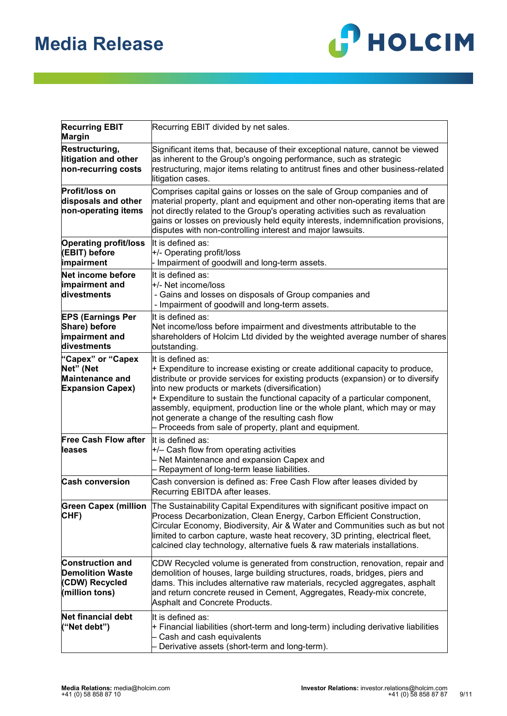

| <b>Recurring EBIT</b><br><b>Margin</b>                                                 | Recurring EBIT divided by net sales.                                                                                                                                                                                                                                                                                                                                                                                                                                                                                  |
|----------------------------------------------------------------------------------------|-----------------------------------------------------------------------------------------------------------------------------------------------------------------------------------------------------------------------------------------------------------------------------------------------------------------------------------------------------------------------------------------------------------------------------------------------------------------------------------------------------------------------|
| Restructuring,<br>litigation and other<br>non-recurring costs                          | Significant items that, because of their exceptional nature, cannot be viewed<br>as inherent to the Group's ongoing performance, such as strategic<br>restructuring, major items relating to antitrust fines and other business-related<br>litigation cases.                                                                                                                                                                                                                                                          |
| <b>Profit/loss on</b><br>disposals and other<br>non-operating items                    | Comprises capital gains or losses on the sale of Group companies and of<br>material property, plant and equipment and other non-operating items that are<br>not directly related to the Group's operating activities such as revaluation<br>gains or losses on previously held equity interests, indemnification provisions,<br>disputes with non-controlling interest and major lawsuits.                                                                                                                            |
| <b>Operating profit/loss</b><br>(EBIT) before<br>impairment                            | It is defined as:<br>+/- Operating profit/loss<br>Impairment of goodwill and long-term assets.                                                                                                                                                                                                                                                                                                                                                                                                                        |
| Net income before<br>impairment and<br>divestments                                     | It is defined as:<br>l+/- Net income/loss<br>- Gains and losses on disposals of Group companies and<br>- Impairment of goodwill and long-term assets.                                                                                                                                                                                                                                                                                                                                                                 |
| <b>EPS (Earnings Per</b><br>Share) before<br>impairment and<br>divestments             | It is defined as:<br>Net income/loss before impairment and divestments attributable to the<br>shareholders of Holcim Ltd divided by the weighted average number of shares<br>outstanding.                                                                                                                                                                                                                                                                                                                             |
| "Capex" or "Capex<br>Net" (Net<br>Maintenance and<br><b>Expansion Capex)</b>           | It is defined as:<br>$+$ Expenditure to increase existing or create additional capacity to produce,<br>distribute or provide services for existing products (expansion) or to diversify<br>into new products or markets (diversification)<br>$+$ Expenditure to sustain the functional capacity of a particular component,<br>assembly, equipment, production line or the whole plant, which may or may<br>not generate a change of the resulting cash flow<br>- Proceeds from sale of property, plant and equipment. |
| <b>Free Cash Flow after</b><br>lleases                                                 | It is defined as:<br>$+/-$ Cash flow from operating activities<br>Net Maintenance and expansion Capex and<br>- Repayment of long-term lease liabilities.                                                                                                                                                                                                                                                                                                                                                              |
| <b>Cash conversion</b>                                                                 | Cash conversion is defined as: Free Cash Flow after leases divided by<br>Recurring EBITDA after leases.                                                                                                                                                                                                                                                                                                                                                                                                               |
| CHF)                                                                                   | Green Capex (million The Sustainability Capital Expenditures with significant positive impact on<br>Process Decarbonization, Clean Energy, Carbon Efficient Construction,<br>Circular Economy, Biodiversity, Air & Water and Communities such as but not<br>limited to carbon capture, waste heat recovery, 3D printing, electrical fleet,<br>$\,$ calcined clay technology, alternative fuels & raw materials installations.                                                                                         |
| <b>Construction and</b><br><b>Demolition Waste</b><br>(CDW) Recycled<br>(million tons) | CDW Recycled volume is generated from construction, renovation, repair and<br>demolition of houses, large building structures, roads, bridges, piers and<br>dams. This includes alternative raw materials, recycled aggregates, asphalt<br>and return concrete reused in Cement, Aggregates, Ready-mix concrete,<br>Asphalt and Concrete Products.                                                                                                                                                                    |
| <b>Net financial debt</b><br>("Net debt")                                              | It is defined as:<br>$+$ Financial liabilities (short-term and long-term) including derivative liabilities<br>Cash and cash equivalents<br>Derivative assets (short-term and long-term).                                                                                                                                                                                                                                                                                                                              |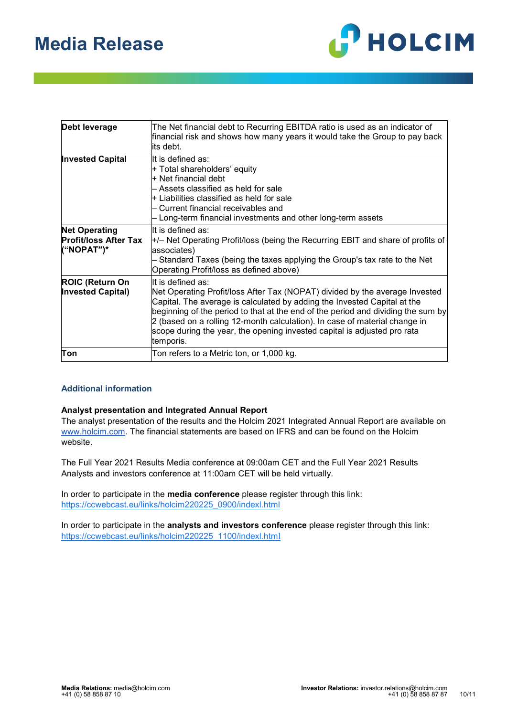

| Debt leverage                                                      | The Net financial debt to Recurring EBITDA ratio is used as an indicator of<br>financial risk and shows how many years it would take the Group to pay back<br>its debt.                                                                                                                                                                                                                                                                 |
|--------------------------------------------------------------------|-----------------------------------------------------------------------------------------------------------------------------------------------------------------------------------------------------------------------------------------------------------------------------------------------------------------------------------------------------------------------------------------------------------------------------------------|
| <b>Invested Capital</b>                                            | It is defined as:<br>+ Total shareholders' equity<br>l+ Net financial debt<br>– Assets classified as held for sale<br>$\pm$ Liabilities classified as held for sale<br>- Current financial receivables and<br>- Long-term financial investments and other long-term assets                                                                                                                                                              |
| <b>Net Operating</b><br><b>Profit/loss After Tax</b><br>("NOPAT")* | It is defined as:<br>$\pm$ /– Net Operating Profit/loss (being the Recurring EBIT and share of profits of<br>associates)<br>Standard Taxes (being the taxes applying the Group's tax rate to the Net<br>Operating Profit/loss as defined above)                                                                                                                                                                                         |
| <b>ROIC (Return On</b><br><b>Invested Capital)</b>                 | It is defined as:<br>Net Operating Profit/loss After Tax (NOPAT) divided by the average Invested<br>Capital. The average is calculated by adding the Invested Capital at the<br>beginning of the period to that at the end of the period and dividing the sum by<br>2 (based on a rolling 12-month calculation). In case of material change in<br>scope during the year, the opening invested capital is adjusted pro rata<br>temporis. |
| Ton                                                                | Ton refers to a Metric ton, or 1,000 kg.                                                                                                                                                                                                                                                                                                                                                                                                |

#### **Additional information**

#### **Analyst presentation and Integrated Annual Report**

The analyst presentation of the results and the Holcim 2021 Integrated Annual Report are available on [www.holcim.com.](http://www.holcim.com/) The financial statements are based on IFRS and can be found on the Holcim website.

The Full Year 2021 Results Media conference at 09:00am CET and the Full Year 2021 Results Analysts and investors conference at 11:00am CET will be held virtually.

In order to participate in the **media conference** please register through this link: [https://ccwebcast.eu/links/holcim220225\\_0900/indexl.html](https://ccwebcast.eu/links/holcim220225_0900/indexl.html)

In order to participate in the **analysts and investors conference** please register through this link: [https://ccwebcast.eu/links/holcim220225\\_1100/indexl.htm](https://ccwebcast.eu/links/holcim220225_1100/indexl.html)[l](https://ccwebcast.eu/links/holcim220225_1100/indexl.html)